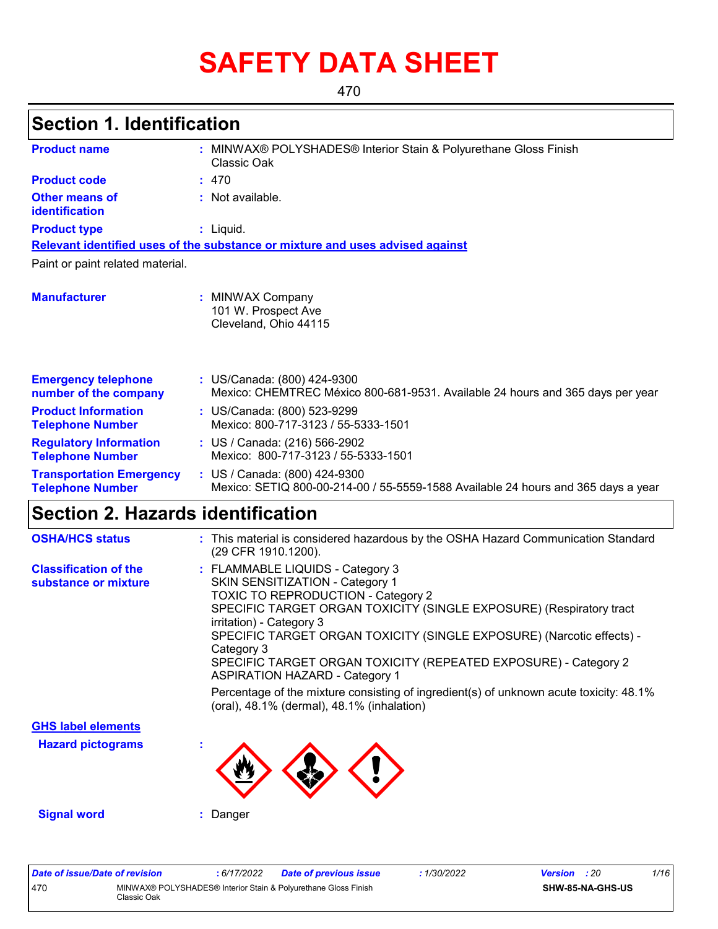# **SAFETY DATA SHEET**

470

## **Section 1. Identification**

| <b>Product name</b>                                        | : MINWAX® POLYSHADES® Interior Stain & Polyurethane Gloss Finish<br>Classic Oak                                    |
|------------------------------------------------------------|--------------------------------------------------------------------------------------------------------------------|
| <b>Product code</b>                                        | :470                                                                                                               |
| <b>Other means of</b><br>identification                    | : Not available.                                                                                                   |
| <b>Product type</b>                                        | : Liquid.                                                                                                          |
|                                                            | Relevant identified uses of the substance or mixture and uses advised against                                      |
| Paint or paint related material.                           |                                                                                                                    |
| <b>Manufacturer</b>                                        | : MINWAX Company<br>101 W. Prospect Ave<br>Cleveland, Ohio 44115                                                   |
| <b>Emergency telephone</b><br>number of the company        | : US/Canada: (800) 424-9300<br>Mexico: CHEMTREC México 800-681-9531. Available 24 hours and 365 days per year      |
| <b>Product Information</b><br><b>Telephone Number</b>      | : US/Canada: (800) 523-9299<br>Mexico: 800-717-3123 / 55-5333-1501                                                 |
| <b>Regulatory Information</b><br><b>Telephone Number</b>   | : US / Canada: (216) 566-2902<br>Mexico: 800-717-3123 / 55-5333-1501                                               |
| <b>Transportation Emergency</b><br><b>Telephone Number</b> | : US / Canada: (800) 424-9300<br>Mexico: SETIQ 800-00-214-00 / 55-5559-1588 Available 24 hours and 365 days a year |

## **Section 2. Hazards identification**

| <b>OSHA/HCS status</b>                               | : This material is considered hazardous by the OSHA Hazard Communication Standard<br>(29 CFR 1910.1200).                                                                                                                                                                                                                                                                                                                                                                                                                                                   |
|------------------------------------------------------|------------------------------------------------------------------------------------------------------------------------------------------------------------------------------------------------------------------------------------------------------------------------------------------------------------------------------------------------------------------------------------------------------------------------------------------------------------------------------------------------------------------------------------------------------------|
| <b>Classification of the</b><br>substance or mixture | : FLAMMABLE LIQUIDS - Category 3<br>SKIN SENSITIZATION - Category 1<br>TOXIC TO REPRODUCTION - Category 2<br>SPECIFIC TARGET ORGAN TOXICITY (SINGLE EXPOSURE) (Respiratory tract<br>irritation) - Category 3<br>SPECIFIC TARGET ORGAN TOXICITY (SINGLE EXPOSURE) (Narcotic effects) -<br>Category 3<br>SPECIFIC TARGET ORGAN TOXICITY (REPEATED EXPOSURE) - Category 2<br><b>ASPIRATION HAZARD - Category 1</b><br>Percentage of the mixture consisting of ingredient(s) of unknown acute toxicity: $48.1\%$<br>(oral), 48.1% (dermal), 48.1% (inhalation) |
| <b>GHS label elements</b>                            |                                                                                                                                                                                                                                                                                                                                                                                                                                                                                                                                                            |
| <b>Hazard pictograms</b>                             | ٠                                                                                                                                                                                                                                                                                                                                                                                                                                                                                                                                                          |
| <b>Signal word</b>                                   | Danger                                                                                                                                                                                                                                                                                                                                                                                                                                                                                                                                                     |

| Date of issue/Date of revision |                                                                               | : 6/17/2022 | <b>Date of previous issue</b> | : 1/30/2022 | <b>Version</b> : 20 |                  | 1/16 |
|--------------------------------|-------------------------------------------------------------------------------|-------------|-------------------------------|-------------|---------------------|------------------|------|
| 470                            | MINWAX® POLYSHADES® Interior Stain & Polyurethane Gloss Finish<br>Classic Oak |             |                               |             |                     | SHW-85-NA-GHS-US |      |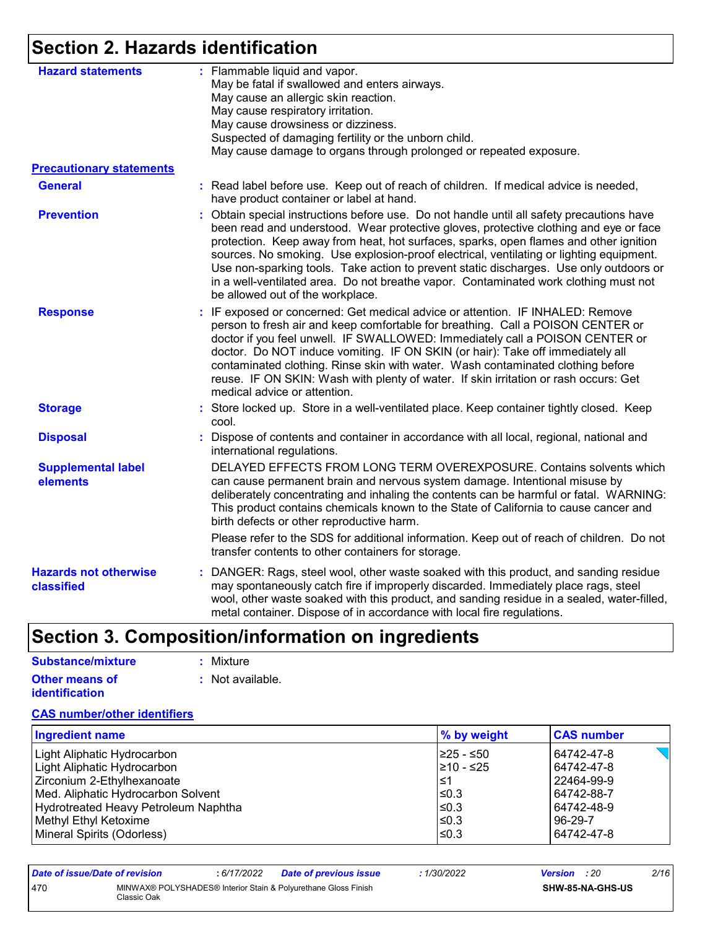## **Section 2. Hazards identification**

| <b>Hazard statements</b>                   | : Flammable liquid and vapor.<br>May be fatal if swallowed and enters airways.                                                                                                                                                                                                                                                                                                                                                                                                                                                                                                             |
|--------------------------------------------|--------------------------------------------------------------------------------------------------------------------------------------------------------------------------------------------------------------------------------------------------------------------------------------------------------------------------------------------------------------------------------------------------------------------------------------------------------------------------------------------------------------------------------------------------------------------------------------------|
|                                            | May cause an allergic skin reaction.                                                                                                                                                                                                                                                                                                                                                                                                                                                                                                                                                       |
|                                            | May cause respiratory irritation.                                                                                                                                                                                                                                                                                                                                                                                                                                                                                                                                                          |
|                                            | May cause drowsiness or dizziness.                                                                                                                                                                                                                                                                                                                                                                                                                                                                                                                                                         |
|                                            | Suspected of damaging fertility or the unborn child.                                                                                                                                                                                                                                                                                                                                                                                                                                                                                                                                       |
|                                            | May cause damage to organs through prolonged or repeated exposure.                                                                                                                                                                                                                                                                                                                                                                                                                                                                                                                         |
| <b>Precautionary statements</b>            |                                                                                                                                                                                                                                                                                                                                                                                                                                                                                                                                                                                            |
| <b>General</b>                             | : Read label before use. Keep out of reach of children. If medical advice is needed,<br>have product container or label at hand.                                                                                                                                                                                                                                                                                                                                                                                                                                                           |
| <b>Prevention</b>                          | Obtain special instructions before use. Do not handle until all safety precautions have<br>been read and understood. Wear protective gloves, protective clothing and eye or face<br>protection. Keep away from heat, hot surfaces, sparks, open flames and other ignition<br>sources. No smoking. Use explosion-proof electrical, ventilating or lighting equipment.<br>Use non-sparking tools. Take action to prevent static discharges. Use only outdoors or<br>in a well-ventilated area. Do not breathe vapor. Contaminated work clothing must not<br>be allowed out of the workplace. |
| <b>Response</b>                            | : IF exposed or concerned: Get medical advice or attention. IF INHALED: Remove<br>person to fresh air and keep comfortable for breathing. Call a POISON CENTER or<br>doctor if you feel unwell. IF SWALLOWED: Immediately call a POISON CENTER or<br>doctor. Do NOT induce vomiting. IF ON SKIN (or hair): Take off immediately all<br>contaminated clothing. Rinse skin with water. Wash contaminated clothing before<br>reuse. IF ON SKIN: Wash with plenty of water. If skin irritation or rash occurs: Get<br>medical advice or attention.                                             |
| <b>Storage</b>                             | : Store locked up. Store in a well-ventilated place. Keep container tightly closed. Keep<br>cool.                                                                                                                                                                                                                                                                                                                                                                                                                                                                                          |
| <b>Disposal</b>                            | Dispose of contents and container in accordance with all local, regional, national and<br>international regulations.                                                                                                                                                                                                                                                                                                                                                                                                                                                                       |
| <b>Supplemental label</b><br>elements      | DELAYED EFFECTS FROM LONG TERM OVEREXPOSURE. Contains solvents which<br>can cause permanent brain and nervous system damage. Intentional misuse by<br>deliberately concentrating and inhaling the contents can be harmful or fatal. WARNING:<br>This product contains chemicals known to the State of California to cause cancer and<br>birth defects or other reproductive harm.                                                                                                                                                                                                          |
|                                            | Please refer to the SDS for additional information. Keep out of reach of children. Do not<br>transfer contents to other containers for storage.                                                                                                                                                                                                                                                                                                                                                                                                                                            |
| <b>Hazards not otherwise</b><br>classified | : DANGER: Rags, steel wool, other waste soaked with this product, and sanding residue<br>may spontaneously catch fire if improperly discarded. Immediately place rags, steel<br>wool, other waste soaked with this product, and sanding residue in a sealed, water-filled,<br>metal container. Dispose of in accordance with local fire regulations.                                                                                                                                                                                                                                       |

## **Section 3. Composition/information on ingredients**

| Substance/mixture     | : Mixture        |
|-----------------------|------------------|
| Other means of        | : Not available. |
| <b>identification</b> |                  |

#### **CAS number/other identifiers**

| <b>Ingredient name</b>               | % by weight | <b>CAS number</b> |
|--------------------------------------|-------------|-------------------|
| Light Aliphatic Hydrocarbon          | I≥25 - ≤50  | 64742-47-8        |
| Light Aliphatic Hydrocarbon          | 1≥10 - ≤25  | 64742-47-8        |
| Zirconium 2-Ethylhexanoate           | l≤1         | 22464-99-9        |
| Med. Aliphatic Hydrocarbon Solvent   | $\leq 0.3$  | 64742-88-7        |
| Hydrotreated Heavy Petroleum Naphtha | ≤0.3        | 64742-48-9        |
| Methyl Ethyl Ketoxime                | ≤0.3        | 96-29-7           |
| Mineral Spirits (Odorless)           | ≤0.3        | 64742-47-8        |

| Date of issue/Date of revision |             | : 6/17/2022 | <b>Date of previous issue</b>                                  | : 1/30/2022 | <b>Version</b> : 20 |                         | 2/16 |
|--------------------------------|-------------|-------------|----------------------------------------------------------------|-------------|---------------------|-------------------------|------|
| 470                            | Classic Oak |             | MINWAX® POLYSHADES® Interior Stain & Polyurethane Gloss Finish |             |                     | <b>SHW-85-NA-GHS-US</b> |      |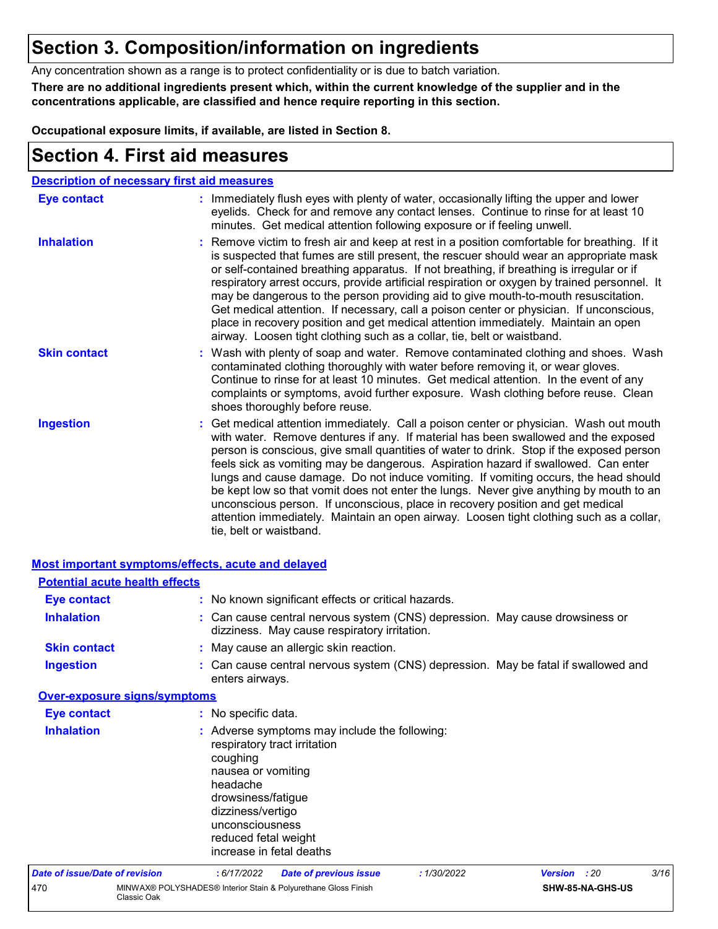## **Section 3. Composition/information on ingredients**

Any concentration shown as a range is to protect confidentiality or is due to batch variation.

**There are no additional ingredients present which, within the current knowledge of the supplier and in the concentrations applicable, are classified and hence require reporting in this section.**

**Occupational exposure limits, if available, are listed in Section 8.**

## **Section 4. First aid measures**

| <b>Description of necessary first aid measures</b> |                                                                                                                                                                                                                                                                                                                                                                                                                                                                                                                                                                                                                                                                                                                                                         |
|----------------------------------------------------|---------------------------------------------------------------------------------------------------------------------------------------------------------------------------------------------------------------------------------------------------------------------------------------------------------------------------------------------------------------------------------------------------------------------------------------------------------------------------------------------------------------------------------------------------------------------------------------------------------------------------------------------------------------------------------------------------------------------------------------------------------|
| <b>Eye contact</b>                                 | : Immediately flush eyes with plenty of water, occasionally lifting the upper and lower<br>eyelids. Check for and remove any contact lenses. Continue to rinse for at least 10<br>minutes. Get medical attention following exposure or if feeling unwell.                                                                                                                                                                                                                                                                                                                                                                                                                                                                                               |
| <b>Inhalation</b>                                  | : Remove victim to fresh air and keep at rest in a position comfortable for breathing. If it<br>is suspected that fumes are still present, the rescuer should wear an appropriate mask<br>or self-contained breathing apparatus. If not breathing, if breathing is irregular or if<br>respiratory arrest occurs, provide artificial respiration or oxygen by trained personnel. It<br>may be dangerous to the person providing aid to give mouth-to-mouth resuscitation.<br>Get medical attention. If necessary, call a poison center or physician. If unconscious,<br>place in recovery position and get medical attention immediately. Maintain an open<br>airway. Loosen tight clothing such as a collar, tie, belt or waistband.                    |
| <b>Skin contact</b>                                | : Wash with plenty of soap and water. Remove contaminated clothing and shoes. Wash<br>contaminated clothing thoroughly with water before removing it, or wear gloves.<br>Continue to rinse for at least 10 minutes. Get medical attention. In the event of any<br>complaints or symptoms, avoid further exposure. Wash clothing before reuse. Clean<br>shoes thoroughly before reuse.                                                                                                                                                                                                                                                                                                                                                                   |
| <b>Ingestion</b>                                   | : Get medical attention immediately. Call a poison center or physician. Wash out mouth<br>with water. Remove dentures if any. If material has been swallowed and the exposed<br>person is conscious, give small quantities of water to drink. Stop if the exposed person<br>feels sick as vomiting may be dangerous. Aspiration hazard if swallowed. Can enter<br>lungs and cause damage. Do not induce vomiting. If vomiting occurs, the head should<br>be kept low so that vomit does not enter the lungs. Never give anything by mouth to an<br>unconscious person. If unconscious, place in recovery position and get medical<br>attention immediately. Maintain an open airway. Loosen tight clothing such as a collar,<br>tie, belt or waistband. |

| Most important symptoms/effects, acute and delayed |             |                                                                                                                                                              |                                                                                                                              |             |                |                  |      |
|----------------------------------------------------|-------------|--------------------------------------------------------------------------------------------------------------------------------------------------------------|------------------------------------------------------------------------------------------------------------------------------|-------------|----------------|------------------|------|
| <b>Potential acute health effects</b>              |             |                                                                                                                                                              |                                                                                                                              |             |                |                  |      |
| Eye contact                                        |             |                                                                                                                                                              | : No known significant effects or critical hazards.                                                                          |             |                |                  |      |
| <b>Inhalation</b>                                  |             |                                                                                                                                                              | : Can cause central nervous system (CNS) depression. May cause drowsiness or<br>dizziness. May cause respiratory irritation. |             |                |                  |      |
| <b>Skin contact</b>                                |             |                                                                                                                                                              | : May cause an allergic skin reaction.                                                                                       |             |                |                  |      |
| <b>Ingestion</b>                                   |             | enters airways.                                                                                                                                              | : Can cause central nervous system (CNS) depression. May be fatal if swallowed and                                           |             |                |                  |      |
| <b>Over-exposure signs/symptoms</b>                |             |                                                                                                                                                              |                                                                                                                              |             |                |                  |      |
| Eye contact                                        |             | : No specific data.                                                                                                                                          |                                                                                                                              |             |                |                  |      |
| <b>Inhalation</b>                                  |             | coughing<br>nausea or vomiting<br>headache<br>drowsiness/fatigue<br>dizziness/vertigo<br>unconsciousness<br>reduced fetal weight<br>increase in fetal deaths | : Adverse symptoms may include the following:<br>respiratory tract irritation                                                |             |                |                  |      |
| <b>Date of issue/Date of revision</b>              |             | : 6/17/2022                                                                                                                                                  | <b>Date of previous issue</b>                                                                                                | : 1/30/2022 | <b>Version</b> | : 20             | 3/16 |
| 470                                                | Classic Oak |                                                                                                                                                              | MINWAX® POLYSHADES® Interior Stain & Polyurethane Gloss Finish                                                               |             |                | SHW-85-NA-GHS-US |      |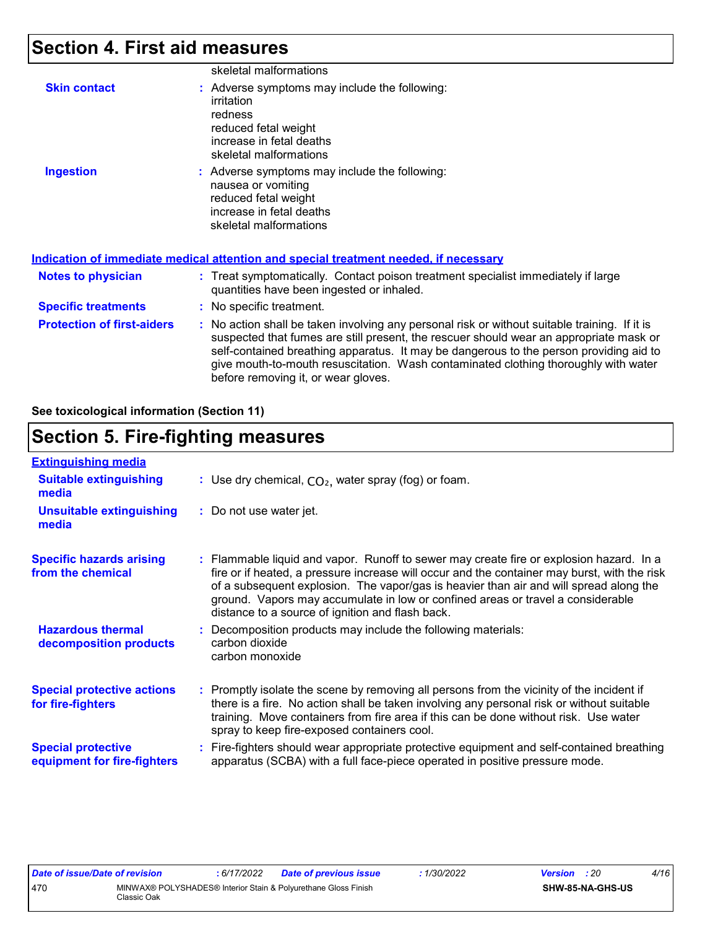## **Section 4. First aid measures**

|                                   | skeletal malformations                                                                                                                                                                                                                                                                                                                                                                                          |
|-----------------------------------|-----------------------------------------------------------------------------------------------------------------------------------------------------------------------------------------------------------------------------------------------------------------------------------------------------------------------------------------------------------------------------------------------------------------|
| <b>Skin contact</b>               | : Adverse symptoms may include the following:<br>irritation<br>redness<br>reduced fetal weight<br>increase in fetal deaths<br>skeletal malformations                                                                                                                                                                                                                                                            |
| <b>Ingestion</b>                  | : Adverse symptoms may include the following:<br>nausea or vomiting<br>reduced fetal weight<br>increase in fetal deaths<br>skeletal malformations                                                                                                                                                                                                                                                               |
|                                   | Indication of immediate medical attention and special treatment needed, if necessary                                                                                                                                                                                                                                                                                                                            |
| <b>Notes to physician</b>         | : Treat symptomatically. Contact poison treatment specialist immediately if large<br>quantities have been ingested or inhaled.                                                                                                                                                                                                                                                                                  |
| <b>Specific treatments</b>        | : No specific treatment.                                                                                                                                                                                                                                                                                                                                                                                        |
| <b>Protection of first-aiders</b> | : No action shall be taken involving any personal risk or without suitable training. If it is<br>suspected that fumes are still present, the rescuer should wear an appropriate mask or<br>self-contained breathing apparatus. It may be dangerous to the person providing aid to<br>give mouth-to-mouth resuscitation. Wash contaminated clothing thoroughly with water<br>before removing it, or wear gloves. |

**See toxicological information (Section 11)**

## **Section 5. Fire-fighting measures**

| <b>Extinguishing media</b>                               |                                                                                                                                                                                                                                                                                                                                                                                                                          |
|----------------------------------------------------------|--------------------------------------------------------------------------------------------------------------------------------------------------------------------------------------------------------------------------------------------------------------------------------------------------------------------------------------------------------------------------------------------------------------------------|
| <b>Suitable extinguishing</b><br>media                   | : Use dry chemical, $CO2$ , water spray (fog) or foam.                                                                                                                                                                                                                                                                                                                                                                   |
| <b>Unsuitable extinguishing</b><br>media                 | : Do not use water jet.                                                                                                                                                                                                                                                                                                                                                                                                  |
| <b>Specific hazards arising</b><br>from the chemical     | : Flammable liquid and vapor. Runoff to sewer may create fire or explosion hazard. In a<br>fire or if heated, a pressure increase will occur and the container may burst, with the risk<br>of a subsequent explosion. The vapor/gas is heavier than air and will spread along the<br>ground. Vapors may accumulate in low or confined areas or travel a considerable<br>distance to a source of ignition and flash back. |
| <b>Hazardous thermal</b><br>decomposition products       | : Decomposition products may include the following materials:<br>carbon dioxide<br>carbon monoxide                                                                                                                                                                                                                                                                                                                       |
| <b>Special protective actions</b><br>for fire-fighters   | : Promptly isolate the scene by removing all persons from the vicinity of the incident if<br>there is a fire. No action shall be taken involving any personal risk or without suitable<br>training. Move containers from fire area if this can be done without risk. Use water<br>spray to keep fire-exposed containers cool.                                                                                            |
| <b>Special protective</b><br>equipment for fire-fighters | Fire-fighters should wear appropriate protective equipment and self-contained breathing<br>apparatus (SCBA) with a full face-piece operated in positive pressure mode.                                                                                                                                                                                                                                                   |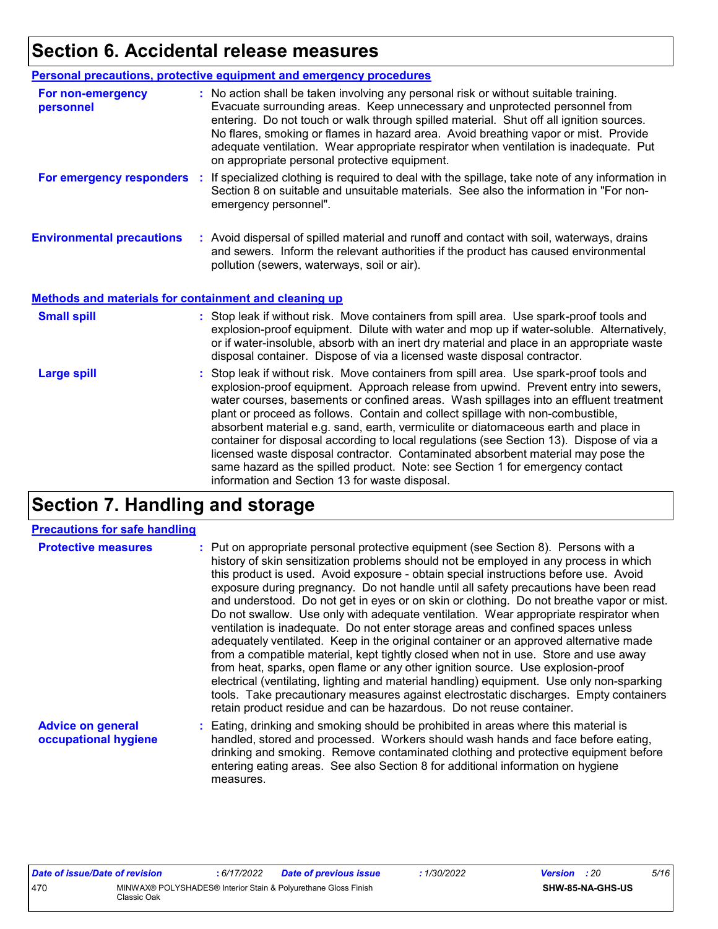## **Section 6. Accidental release measures**

|                                                              | Personal precautions, protective equipment and emergency procedures                                                                                                                                                                                                                                                                                                                                                                                                                                                                                                                                                                                                                                                                                                  |
|--------------------------------------------------------------|----------------------------------------------------------------------------------------------------------------------------------------------------------------------------------------------------------------------------------------------------------------------------------------------------------------------------------------------------------------------------------------------------------------------------------------------------------------------------------------------------------------------------------------------------------------------------------------------------------------------------------------------------------------------------------------------------------------------------------------------------------------------|
| For non-emergency<br>personnel                               | : No action shall be taken involving any personal risk or without suitable training.<br>Evacuate surrounding areas. Keep unnecessary and unprotected personnel from<br>entering. Do not touch or walk through spilled material. Shut off all ignition sources.<br>No flares, smoking or flames in hazard area. Avoid breathing vapor or mist. Provide<br>adequate ventilation. Wear appropriate respirator when ventilation is inadequate. Put<br>on appropriate personal protective equipment.                                                                                                                                                                                                                                                                      |
|                                                              | For emergency responders : If specialized clothing is required to deal with the spillage, take note of any information in<br>Section 8 on suitable and unsuitable materials. See also the information in "For non-<br>emergency personnel".                                                                                                                                                                                                                                                                                                                                                                                                                                                                                                                          |
| <b>Environmental precautions</b>                             | : Avoid dispersal of spilled material and runoff and contact with soil, waterways, drains<br>and sewers. Inform the relevant authorities if the product has caused environmental<br>pollution (sewers, waterways, soil or air).                                                                                                                                                                                                                                                                                                                                                                                                                                                                                                                                      |
| <b>Methods and materials for containment and cleaning up</b> |                                                                                                                                                                                                                                                                                                                                                                                                                                                                                                                                                                                                                                                                                                                                                                      |
| <b>Small spill</b>                                           | : Stop leak if without risk. Move containers from spill area. Use spark-proof tools and<br>explosion-proof equipment. Dilute with water and mop up if water-soluble. Alternatively,<br>or if water-insoluble, absorb with an inert dry material and place in an appropriate waste<br>disposal container. Dispose of via a licensed waste disposal contractor.                                                                                                                                                                                                                                                                                                                                                                                                        |
| <b>Large spill</b>                                           | : Stop leak if without risk. Move containers from spill area. Use spark-proof tools and<br>explosion-proof equipment. Approach release from upwind. Prevent entry into sewers,<br>water courses, basements or confined areas. Wash spillages into an effluent treatment<br>plant or proceed as follows. Contain and collect spillage with non-combustible,<br>absorbent material e.g. sand, earth, vermiculite or diatomaceous earth and place in<br>container for disposal according to local regulations (see Section 13). Dispose of via a<br>licensed waste disposal contractor. Contaminated absorbent material may pose the<br>same hazard as the spilled product. Note: see Section 1 for emergency contact<br>information and Section 13 for waste disposal. |

## **Section 7. Handling and storage**

#### **Precautions for safe handling**

| <b>Protective measures</b>                       | : Put on appropriate personal protective equipment (see Section 8). Persons with a<br>history of skin sensitization problems should not be employed in any process in which<br>this product is used. Avoid exposure - obtain special instructions before use. Avoid<br>exposure during pregnancy. Do not handle until all safety precautions have been read<br>and understood. Do not get in eyes or on skin or clothing. Do not breathe vapor or mist.<br>Do not swallow. Use only with adequate ventilation. Wear appropriate respirator when<br>ventilation is inadequate. Do not enter storage areas and confined spaces unless<br>adequately ventilated. Keep in the original container or an approved alternative made<br>from a compatible material, kept tightly closed when not in use. Store and use away<br>from heat, sparks, open flame or any other ignition source. Use explosion-proof<br>electrical (ventilating, lighting and material handling) equipment. Use only non-sparking<br>tools. Take precautionary measures against electrostatic discharges. Empty containers<br>retain product residue and can be hazardous. Do not reuse container. |
|--------------------------------------------------|----------------------------------------------------------------------------------------------------------------------------------------------------------------------------------------------------------------------------------------------------------------------------------------------------------------------------------------------------------------------------------------------------------------------------------------------------------------------------------------------------------------------------------------------------------------------------------------------------------------------------------------------------------------------------------------------------------------------------------------------------------------------------------------------------------------------------------------------------------------------------------------------------------------------------------------------------------------------------------------------------------------------------------------------------------------------------------------------------------------------------------------------------------------------|
| <b>Advice on general</b><br>occupational hygiene | : Eating, drinking and smoking should be prohibited in areas where this material is<br>handled, stored and processed. Workers should wash hands and face before eating,<br>drinking and smoking. Remove contaminated clothing and protective equipment before<br>entering eating areas. See also Section 8 for additional information on hygiene                                                                                                                                                                                                                                                                                                                                                                                                                                                                                                                                                                                                                                                                                                                                                                                                                     |

measures.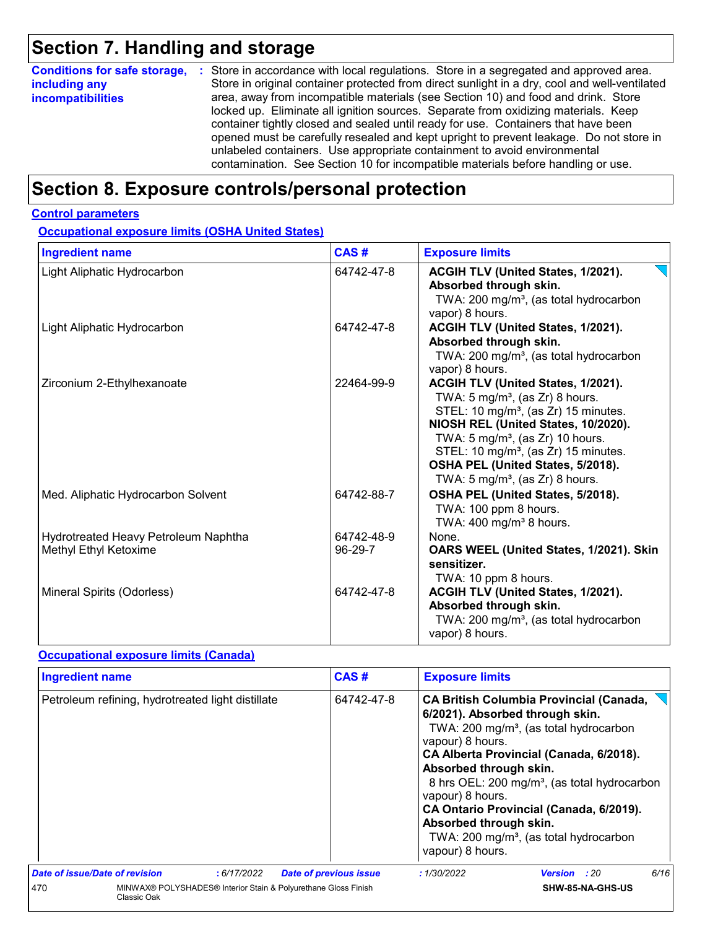## **Section 7. Handling and storage**

| <b>Conditions for safe storage,</b> | : Store in accordance with local regulations. Store in a segregated and approved area.        |
|-------------------------------------|-----------------------------------------------------------------------------------------------|
| including any                       | Store in original container protected from direct sunlight in a dry, cool and well-ventilated |
| incompatibilities                   | area, away from incompatible materials (see Section 10) and food and drink. Store             |
|                                     | locked up. Eliminate all ignition sources. Separate from oxidizing materials. Keep            |
|                                     | container tightly closed and sealed until ready for use. Containers that have been            |
|                                     | opened must be carefully resealed and kept upright to prevent leakage. Do not store in        |
|                                     | unlabeled containers. Use appropriate containment to avoid environmental                      |
|                                     | contamination. See Section 10 for incompatible materials before handling or use.              |

## **Section 8. Exposure controls/personal protection**

#### **Control parameters**

**Occupational exposure limits (OSHA United States)**

| <b>Ingredient name</b>                                        | CAS#                  | <b>Exposure limits</b>                                                                                                                                                                                                                                                                                                                                             |
|---------------------------------------------------------------|-----------------------|--------------------------------------------------------------------------------------------------------------------------------------------------------------------------------------------------------------------------------------------------------------------------------------------------------------------------------------------------------------------|
| Light Aliphatic Hydrocarbon                                   | 64742-47-8            | ACGIH TLV (United States, 1/2021).<br>Absorbed through skin.<br>TWA: 200 mg/m <sup>3</sup> , (as total hydrocarbon<br>vapor) 8 hours.                                                                                                                                                                                                                              |
| Light Aliphatic Hydrocarbon                                   | 64742-47-8            | ACGIH TLV (United States, 1/2021).<br>Absorbed through skin.<br>TWA: 200 mg/m <sup>3</sup> , (as total hydrocarbon<br>vapor) 8 hours.                                                                                                                                                                                                                              |
| Zirconium 2-Ethylhexanoate                                    | 22464-99-9            | ACGIH TLV (United States, 1/2021).<br>TWA: $5 \text{ mg/m}^3$ , (as Zr) 8 hours.<br>STEL: 10 mg/m <sup>3</sup> , (as Zr) 15 minutes.<br>NIOSH REL (United States, 10/2020).<br>TWA: $5 \text{ mg/m}^3$ , (as Zr) 10 hours.<br>STEL: 10 mg/m <sup>3</sup> , (as Zr) 15 minutes.<br>OSHA PEL (United States, 5/2018).<br>TWA: 5 mg/m <sup>3</sup> , (as Zr) 8 hours. |
| Med. Aliphatic Hydrocarbon Solvent                            | 64742-88-7            | OSHA PEL (United States, 5/2018).<br>TWA: 100 ppm 8 hours.<br>TWA: $400 \text{ mg/m}^3$ 8 hours.                                                                                                                                                                                                                                                                   |
| Hydrotreated Heavy Petroleum Naphtha<br>Methyl Ethyl Ketoxime | 64742-48-9<br>96-29-7 | None.<br>OARS WEEL (United States, 1/2021). Skin<br>sensitizer.<br>TWA: 10 ppm 8 hours.                                                                                                                                                                                                                                                                            |
| Mineral Spirits (Odorless)                                    | 64742-47-8            | ACGIH TLV (United States, 1/2021).<br>Absorbed through skin.<br>TWA: 200 mg/m <sup>3</sup> , (as total hydrocarbon<br>vapor) 8 hours.                                                                                                                                                                                                                              |

#### **Occupational exposure limits (Canada)**

| <b>Ingredient name</b>                                                               |                                                   |             | CAS#                          | <b>Exposure limits</b> |                                                                                                              |                                                                                                                                                                                                                                                                                                                                                 |      |
|--------------------------------------------------------------------------------------|---------------------------------------------------|-------------|-------------------------------|------------------------|--------------------------------------------------------------------------------------------------------------|-------------------------------------------------------------------------------------------------------------------------------------------------------------------------------------------------------------------------------------------------------------------------------------------------------------------------------------------------|------|
|                                                                                      | Petroleum refining, hydrotreated light distillate |             |                               | 64742-47-8             | vapour) 8 hours.<br>Absorbed through skin.<br>vapour) 8 hours.<br>Absorbed through skin.<br>vapour) 8 hours. | <b>CA British Columbia Provincial (Canada,</b><br>6/2021). Absorbed through skin.<br>TWA: 200 mg/m <sup>3</sup> , (as total hydrocarbon<br>CA Alberta Provincial (Canada, 6/2018).<br>8 hrs OEL: 200 mg/m <sup>3</sup> , (as total hydrocarbon<br>CA Ontario Provincial (Canada, 6/2019).<br>TWA: 200 mg/m <sup>3</sup> , (as total hydrocarbon |      |
| <b>Date of issue/Date of revision</b>                                                |                                                   | : 6/17/2022 | <b>Date of previous issue</b> |                        | :1/30/2022                                                                                                   | <b>Version</b> : 20                                                                                                                                                                                                                                                                                                                             | 6/16 |
| MINWAX® POLYSHADES® Interior Stain & Polyurethane Gloss Finish<br>470<br>Classic Oak |                                                   |             |                               | SHW-85-NA-GHS-US       |                                                                                                              |                                                                                                                                                                                                                                                                                                                                                 |      |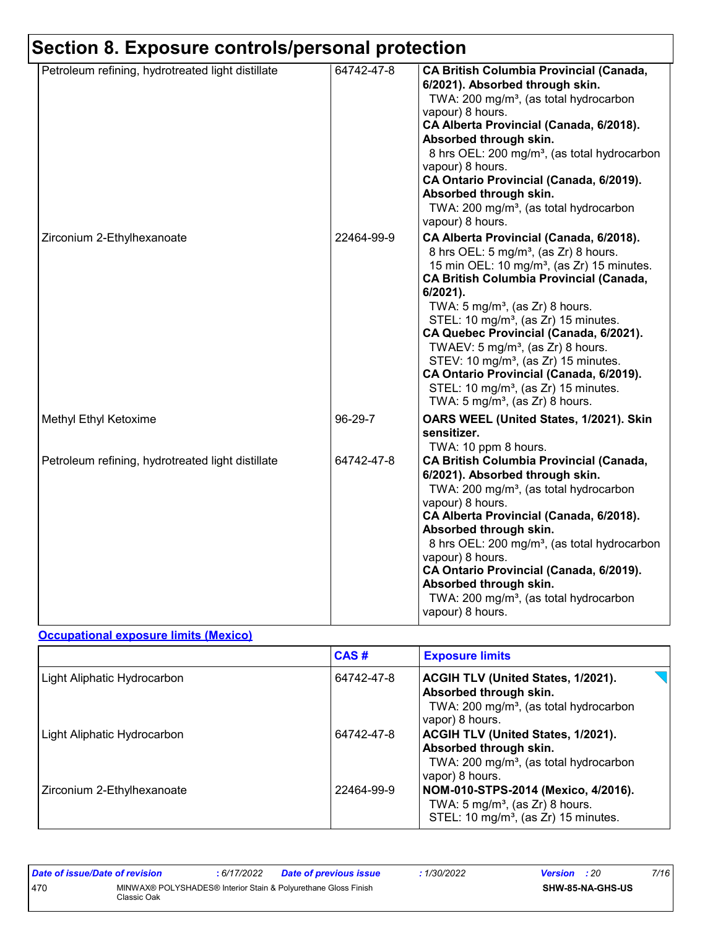# **Section 8. Exposure controls/personal protection**

| Petroleum refining, hydrotreated light distillate | 64742-47-8 | <b>CA British Columbia Provincial (Canada,</b><br>6/2021). Absorbed through skin.<br>TWA: 200 mg/m <sup>3</sup> , (as total hydrocarbon<br>vapour) 8 hours.<br>CA Alberta Provincial (Canada, 6/2018).<br>Absorbed through skin.<br>8 hrs OEL: 200 mg/m <sup>3</sup> , (as total hydrocarbon<br>vapour) 8 hours.<br>CA Ontario Provincial (Canada, 6/2019).<br>Absorbed through skin.<br>TWA: 200 mg/m <sup>3</sup> , (as total hydrocarbon<br>vapour) 8 hours.                                                                                                                                             |
|---------------------------------------------------|------------|-------------------------------------------------------------------------------------------------------------------------------------------------------------------------------------------------------------------------------------------------------------------------------------------------------------------------------------------------------------------------------------------------------------------------------------------------------------------------------------------------------------------------------------------------------------------------------------------------------------|
| Zirconium 2-Ethylhexanoate                        | 22464-99-9 | CA Alberta Provincial (Canada, 6/2018).<br>8 hrs OEL: 5 mg/m <sup>3</sup> , (as Zr) 8 hours.<br>15 min OEL: 10 mg/m <sup>3</sup> , (as Zr) 15 minutes.<br>CA British Columbia Provincial (Canada,<br>6/2021).<br>TWA: $5 \text{ mg/m}^3$ , (as Zr) 8 hours.<br>STEL: 10 mg/m <sup>3</sup> , (as Zr) 15 minutes.<br>CA Quebec Provincial (Canada, 6/2021).<br>TWAEV: 5 mg/m <sup>3</sup> , (as Zr) 8 hours.<br>STEV: 10 mg/m <sup>3</sup> , (as Zr) 15 minutes.<br>CA Ontario Provincial (Canada, 6/2019).<br>STEL: 10 mg/m <sup>3</sup> , (as Zr) 15 minutes.<br>TWA: $5 \text{ mg/m}^3$ , (as Zr) 8 hours. |
| Methyl Ethyl Ketoxime                             | 96-29-7    | OARS WEEL (United States, 1/2021). Skin<br>sensitizer.<br>TWA: 10 ppm 8 hours.                                                                                                                                                                                                                                                                                                                                                                                                                                                                                                                              |
| Petroleum refining, hydrotreated light distillate | 64742-47-8 | <b>CA British Columbia Provincial (Canada,</b><br>6/2021). Absorbed through skin.<br>TWA: 200 mg/m <sup>3</sup> , (as total hydrocarbon<br>vapour) 8 hours.<br>CA Alberta Provincial (Canada, 6/2018).<br>Absorbed through skin.<br>8 hrs OEL: 200 mg/m <sup>3</sup> , (as total hydrocarbon<br>vapour) 8 hours.<br>CA Ontario Provincial (Canada, 6/2019).<br>Absorbed through skin.<br>TWA: 200 mg/m <sup>3</sup> , (as total hydrocarbon<br>vapour) 8 hours.                                                                                                                                             |

#### **Occupational exposure limits (Mexico)**

|                             | CAS#       | <b>Exposure limits</b>                                                                                                                |
|-----------------------------|------------|---------------------------------------------------------------------------------------------------------------------------------------|
| Light Aliphatic Hydrocarbon | 64742-47-8 | ACGIH TLV (United States, 1/2021).<br>Absorbed through skin.<br>TWA: 200 mg/m <sup>3</sup> , (as total hydrocarbon<br>vapor) 8 hours. |
| Light Aliphatic Hydrocarbon | 64742-47-8 | ACGIH TLV (United States, 1/2021).<br>Absorbed through skin.<br>TWA: 200 mg/m <sup>3</sup> , (as total hydrocarbon<br>vapor) 8 hours. |
| Zirconium 2-Ethylhexanoate  | 22464-99-9 | NOM-010-STPS-2014 (Mexico, 4/2016).<br>TWA: $5 \text{ mg/m}^3$ , (as Zr) 8 hours.<br>STEL: 10 mg/m <sup>3</sup> , (as Zr) 15 minutes. |

| Date of issue/Date of revision |                                                                               | : 6/17/2022 | <b>Date of previous issue</b> | : 1/30/2022 | <b>Version</b> : 20 |                         | 7/16 |
|--------------------------------|-------------------------------------------------------------------------------|-------------|-------------------------------|-------------|---------------------|-------------------------|------|
| 470                            | MINWAX® POLYSHADES® Interior Stain & Polyurethane Gloss Finish<br>Classic Oak |             |                               |             |                     | <b>SHW-85-NA-GHS-US</b> |      |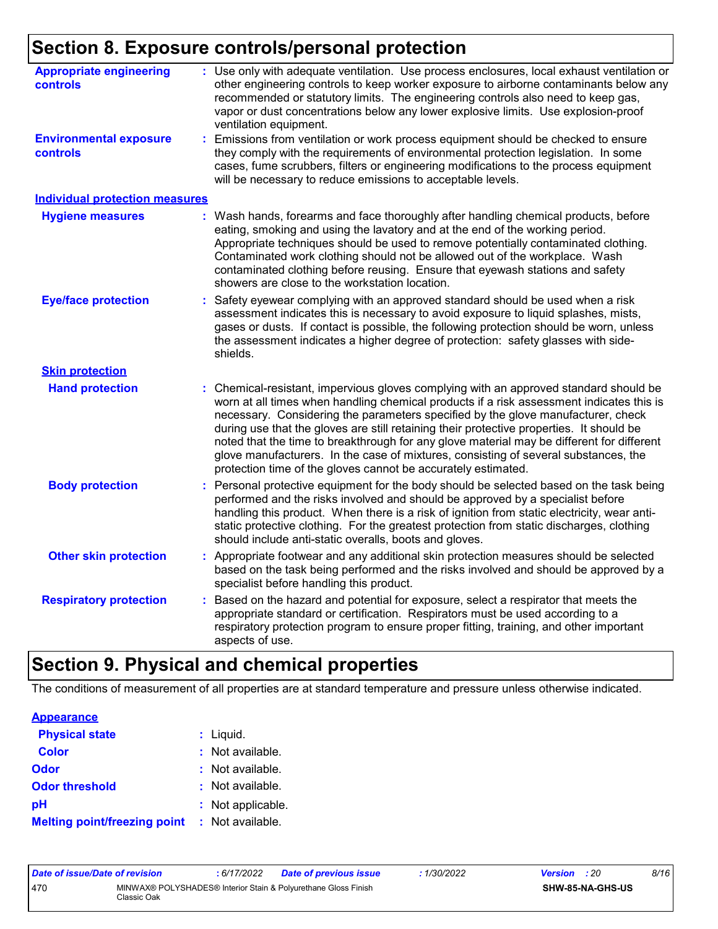## **Section 8. Exposure controls/personal protection**

| <b>Appropriate engineering</b><br>controls       | : Use only with adequate ventilation. Use process enclosures, local exhaust ventilation or<br>other engineering controls to keep worker exposure to airborne contaminants below any<br>recommended or statutory limits. The engineering controls also need to keep gas,<br>vapor or dust concentrations below any lower explosive limits. Use explosion-proof<br>ventilation equipment.                                                                                                                                                                                                                              |
|--------------------------------------------------|----------------------------------------------------------------------------------------------------------------------------------------------------------------------------------------------------------------------------------------------------------------------------------------------------------------------------------------------------------------------------------------------------------------------------------------------------------------------------------------------------------------------------------------------------------------------------------------------------------------------|
| <b>Environmental exposure</b><br><b>controls</b> | Emissions from ventilation or work process equipment should be checked to ensure<br>they comply with the requirements of environmental protection legislation. In some<br>cases, fume scrubbers, filters or engineering modifications to the process equipment<br>will be necessary to reduce emissions to acceptable levels.                                                                                                                                                                                                                                                                                        |
| <b>Individual protection measures</b>            |                                                                                                                                                                                                                                                                                                                                                                                                                                                                                                                                                                                                                      |
| <b>Hygiene measures</b>                          | : Wash hands, forearms and face thoroughly after handling chemical products, before<br>eating, smoking and using the lavatory and at the end of the working period.<br>Appropriate techniques should be used to remove potentially contaminated clothing.<br>Contaminated work clothing should not be allowed out of the workplace. Wash<br>contaminated clothing before reusing. Ensure that eyewash stations and safety<br>showers are close to the workstation location.                                                                                                                                          |
| <b>Eye/face protection</b>                       | Safety eyewear complying with an approved standard should be used when a risk<br>assessment indicates this is necessary to avoid exposure to liquid splashes, mists,<br>gases or dusts. If contact is possible, the following protection should be worn, unless<br>the assessment indicates a higher degree of protection: safety glasses with side-<br>shields.                                                                                                                                                                                                                                                     |
| <b>Skin protection</b>                           |                                                                                                                                                                                                                                                                                                                                                                                                                                                                                                                                                                                                                      |
| <b>Hand protection</b>                           | Chemical-resistant, impervious gloves complying with an approved standard should be<br>worn at all times when handling chemical products if a risk assessment indicates this is<br>necessary. Considering the parameters specified by the glove manufacturer, check<br>during use that the gloves are still retaining their protective properties. It should be<br>noted that the time to breakthrough for any glove material may be different for different<br>glove manufacturers. In the case of mixtures, consisting of several substances, the<br>protection time of the gloves cannot be accurately estimated. |
| <b>Body protection</b>                           | Personal protective equipment for the body should be selected based on the task being<br>performed and the risks involved and should be approved by a specialist before<br>handling this product. When there is a risk of ignition from static electricity, wear anti-<br>static protective clothing. For the greatest protection from static discharges, clothing<br>should include anti-static overalls, boots and gloves.                                                                                                                                                                                         |
| <b>Other skin protection</b>                     | Appropriate footwear and any additional skin protection measures should be selected<br>based on the task being performed and the risks involved and should be approved by a<br>specialist before handling this product.                                                                                                                                                                                                                                                                                                                                                                                              |
| <b>Respiratory protection</b>                    | Based on the hazard and potential for exposure, select a respirator that meets the<br>appropriate standard or certification. Respirators must be used according to a<br>respiratory protection program to ensure proper fitting, training, and other important<br>aspects of use.                                                                                                                                                                                                                                                                                                                                    |
|                                                  |                                                                                                                                                                                                                                                                                                                                                                                                                                                                                                                                                                                                                      |

## **Section 9. Physical and chemical properties**

The conditions of measurement of all properties are at standard temperature and pressure unless otherwise indicated.

| <b>Appearance</b>                   |                   |
|-------------------------------------|-------------------|
| <b>Physical state</b>               | : Liquid.         |
| <b>Color</b>                        | : Not available.  |
| <b>Odor</b>                         | : Not available.  |
| <b>Odor threshold</b>               | : Not available.  |
| рH                                  | : Not applicable. |
| <b>Melting point/freezing point</b> | : Not available.  |

| Date of issue/Date of revision |                                                                               | : 6/17/2022 | <b>Date of previous issue</b> | 1/30/2022 | <b>Version</b> : 20 |                  | 8/16 |
|--------------------------------|-------------------------------------------------------------------------------|-------------|-------------------------------|-----------|---------------------|------------------|------|
| 470                            | MINWAX® POLYSHADES® Interior Stain & Polyurethane Gloss Finish<br>Classic Oak |             |                               |           |                     | SHW-85-NA-GHS-US |      |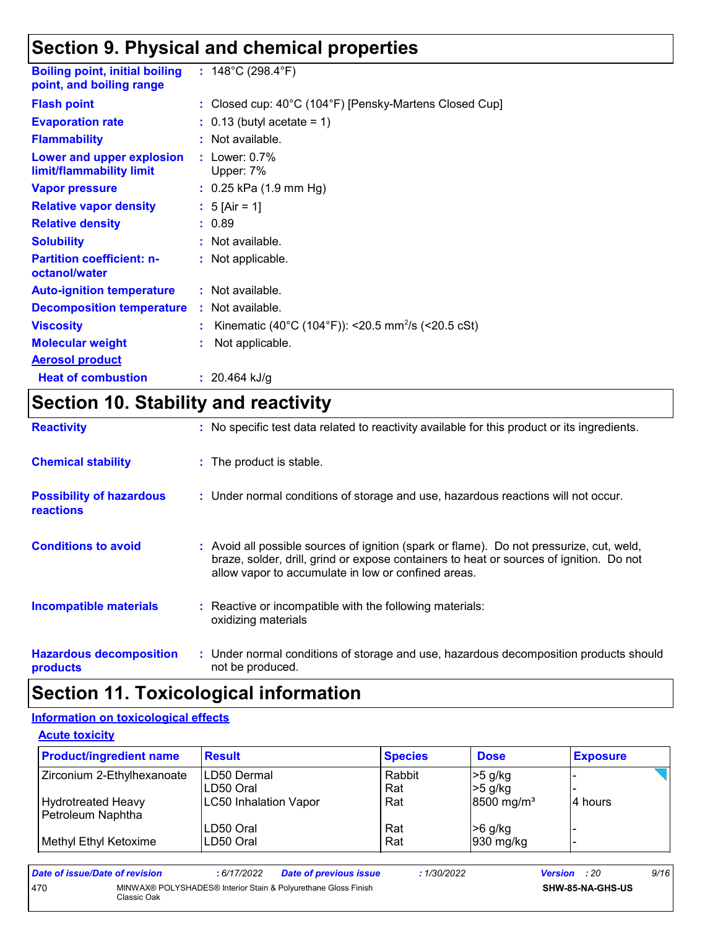## **Section 9. Physical and chemical properties**

| <b>Boiling point, initial boiling</b><br>point, and boiling range | : $148^{\circ}$ C (298.4 $^{\circ}$ F)                         |
|-------------------------------------------------------------------|----------------------------------------------------------------|
| <b>Flash point</b>                                                | : Closed cup: 40°C (104°F) [Pensky-Martens Closed Cup]         |
| <b>Evaporation rate</b>                                           | $\therefore$ 0.13 (butyl acetate = 1)                          |
| <b>Flammability</b>                                               | : Not available.                                               |
| Lower and upper explosion<br>limit/flammability limit             | : Lower: $0.7\%$<br>Upper: 7%                                  |
| <b>Vapor pressure</b>                                             | $: 0.25$ kPa $(1.9$ mm Hg)                                     |
| <b>Relative vapor density</b>                                     | : $5$ [Air = 1]                                                |
| <b>Relative density</b>                                           | : 0.89                                                         |
| <b>Solubility</b>                                                 | : Not available.                                               |
| <b>Partition coefficient: n-</b><br>octanol/water                 | : Not applicable.                                              |
| <b>Auto-ignition temperature</b>                                  | : Not available.                                               |
| <b>Decomposition temperature</b>                                  | : Not available.                                               |
| <b>Viscosity</b>                                                  | Kinematic (40°C (104°F)): <20.5 mm <sup>2</sup> /s (<20.5 cSt) |
| <b>Molecular weight</b>                                           | Not applicable.                                                |
| <b>Aerosol product</b>                                            |                                                                |
| <b>Heat of combustion</b>                                         | : $20.464$ kJ/g                                                |

## **Section 10. Stability and reactivity**

| <b>Reactivity</b>                                   | : No specific test data related to reactivity available for this product or its ingredients.                                                                                                                                               |  |
|-----------------------------------------------------|--------------------------------------------------------------------------------------------------------------------------------------------------------------------------------------------------------------------------------------------|--|
| <b>Chemical stability</b>                           | : The product is stable.                                                                                                                                                                                                                   |  |
| <b>Possibility of hazardous</b><br><b>reactions</b> | : Under normal conditions of storage and use, hazardous reactions will not occur.                                                                                                                                                          |  |
| <b>Conditions to avoid</b>                          | : Avoid all possible sources of ignition (spark or flame). Do not pressurize, cut, weld,<br>braze, solder, drill, grind or expose containers to heat or sources of ignition. Do not<br>allow vapor to accumulate in low or confined areas. |  |
| <b>Incompatible materials</b>                       | : Reactive or incompatible with the following materials:<br>oxidizing materials                                                                                                                                                            |  |
| <b>Hazardous decomposition</b><br>products          | : Under normal conditions of storage and use, hazardous decomposition products should<br>not be produced.                                                                                                                                  |  |

### **Section 11. Toxicological information**

#### **Information on toxicological effects**

#### **Acute toxicity**

| <b>Product/ingredient name</b> | <b>Result</b>                | <b>Species</b> | <b>Dose</b>            | <b>Exposure</b> |
|--------------------------------|------------------------------|----------------|------------------------|-----------------|
| Zirconium 2-Ethylhexanoate     | ILD50 Dermal                 | Rabbit         | >5 g/kg                |                 |
|                                | LD50 Oral                    | Rat            | $>5$ g/kg              |                 |
| <b>Hydrotreated Heavy</b>      | <b>LC50 Inhalation Vapor</b> | Rat            | 8500 mg/m <sup>3</sup> | l4 hours        |
| Petroleum Naphtha              |                              |                |                        |                 |
|                                | LD50 Oral                    | Rat            | $>6$ g/kg              |                 |
| Methyl Ethyl Ketoxime          | LD50 Oral                    | Rat            | 930 mg/kg              |                 |

| Date of issue/Date of revision |                                                                               | : 6/17/2022 | <b>Date of previous issue</b> | : 1/30/2022 | <b>Version</b> : 20 |                         | 9/16 |
|--------------------------------|-------------------------------------------------------------------------------|-------------|-------------------------------|-------------|---------------------|-------------------------|------|
| 470                            | MINWAX® POLYSHADES® Interior Stain & Polyurethane Gloss Finish<br>Classic Oak |             |                               |             |                     | <b>SHW-85-NA-GHS-US</b> |      |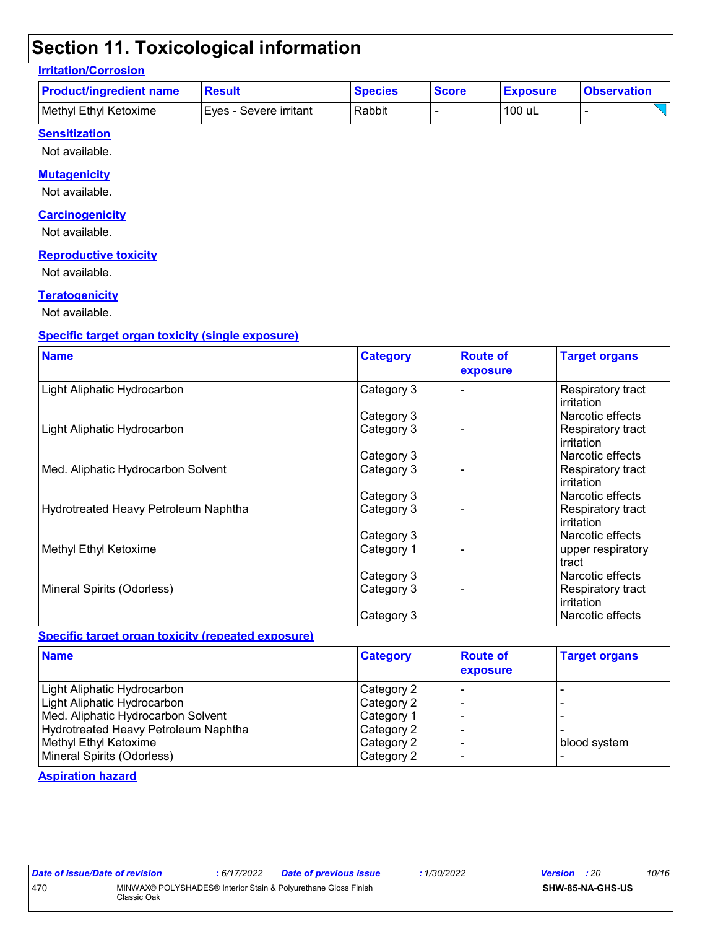## **Section 11. Toxicological information**

#### **Irritation/Corrosion**

| <b>Product/ingredient name</b> | <b>Result</b>           | <b>Species</b> | <b>Score</b> | <b>Exposure</b> | <b>Observation</b> |
|--------------------------------|-------------------------|----------------|--------------|-----------------|--------------------|
| Methyl Ethyl Ketoxime          | IEves - Severe irritant | Rabbit         |              | 100 uL          |                    |

#### **Sensitization**

Not available.

#### **Mutagenicity**

Not available.

#### **Carcinogenicity**

Not available.

#### **Reproductive toxicity**

Not available.

#### **Teratogenicity**

Not available.

#### **Specific target organ toxicity (single exposure)**

| <b>Name</b>                          | <b>Category</b> | <b>Route of</b><br>exposure | <b>Target organs</b>            |
|--------------------------------------|-----------------|-----------------------------|---------------------------------|
| Light Aliphatic Hydrocarbon          | Category 3      |                             | Respiratory tract<br>irritation |
|                                      | Category 3      |                             | Narcotic effects                |
| Light Aliphatic Hydrocarbon          | Category 3      |                             | Respiratory tract<br>irritation |
|                                      | Category 3      |                             | Narcotic effects                |
| Med. Aliphatic Hydrocarbon Solvent   | Category 3      |                             | Respiratory tract<br>irritation |
|                                      | Category 3      |                             | Narcotic effects                |
| Hydrotreated Heavy Petroleum Naphtha | Category 3      |                             | Respiratory tract<br>irritation |
|                                      | Category 3      |                             | Narcotic effects                |
| Methyl Ethyl Ketoxime                | Category 1      |                             | upper respiratory<br>tract      |
|                                      | Category 3      |                             | Narcotic effects                |
| Mineral Spirits (Odorless)           | Category 3      |                             | Respiratory tract<br>irritation |
|                                      | Category 3      |                             | Narcotic effects                |

#### **Specific target organ toxicity (repeated exposure)**

| <b>Name</b>                          | <b>Category</b> | <b>Route of</b><br>exposure | <b>Target organs</b> |
|--------------------------------------|-----------------|-----------------------------|----------------------|
| Light Aliphatic Hydrocarbon          | Category 2      |                             |                      |
| Light Aliphatic Hydrocarbon          | Category 2      |                             |                      |
| Med. Aliphatic Hydrocarbon Solvent   | Category 1      |                             |                      |
| Hydrotreated Heavy Petroleum Naphtha | Category 2      |                             |                      |
| Methyl Ethyl Ketoxime                | Category 2      |                             | blood system         |
| Mineral Spirits (Odorless)           | Category 2      |                             |                      |

#### **Aspiration hazard**

| Date of issue/Date of revision |             | : 6/17/2022 | Date of previous issue                                         | 1/30/2022 | <b>Version</b> : 20 |                         | 10/16 |
|--------------------------------|-------------|-------------|----------------------------------------------------------------|-----------|---------------------|-------------------------|-------|
| 470                            | Classic Oak |             | MINWAX® POLYSHADES® Interior Stain & Polyurethane Gloss Finish |           |                     | <b>SHW-85-NA-GHS-US</b> |       |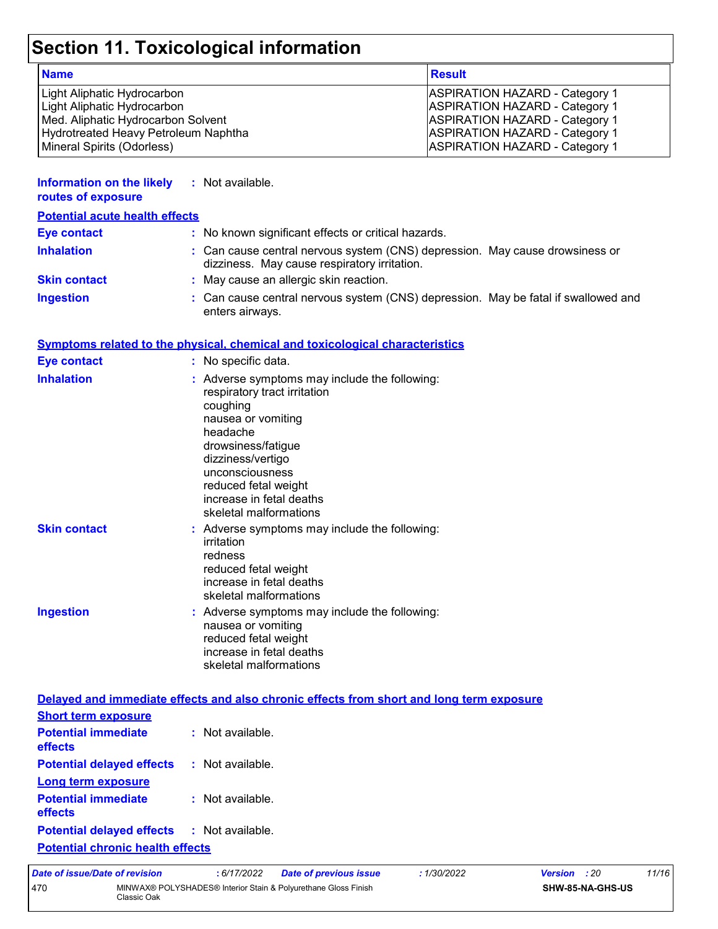## **Section 11. Toxicological information**

| <b>Name</b>                          | <b>Result</b>                         |
|--------------------------------------|---------------------------------------|
| Light Aliphatic Hydrocarbon          | <b>ASPIRATION HAZARD - Category 1</b> |
| Light Aliphatic Hydrocarbon          | <b>ASPIRATION HAZARD - Category 1</b> |
| Med. Aliphatic Hydrocarbon Solvent   | <b>ASPIRATION HAZARD - Category 1</b> |
| Hydrotreated Heavy Petroleum Naphtha | <b>ASPIRATION HAZARD - Category 1</b> |
| Mineral Spirits (Odorless)           | <b>ASPIRATION HAZARD - Category 1</b> |

| Information on the likely<br>routes of exposure | : Not available.                                                                                                             |
|-------------------------------------------------|------------------------------------------------------------------------------------------------------------------------------|
| <b>Potential acute health effects</b>           |                                                                                                                              |
| <b>Eye contact</b>                              | : No known significant effects or critical hazards.                                                                          |
| <b>Inhalation</b>                               | : Can cause central nervous system (CNS) depression. May cause drowsiness or<br>dizziness. May cause respiratory irritation. |
| <b>Skin contact</b>                             | : May cause an allergic skin reaction.                                                                                       |
| <b>Ingestion</b>                                | : Can cause central nervous system (CNS) depression. May be fatal if swallowed and                                           |

#### **Symptoms related to the physical, chemical and toxicological characteristics**

enters airways.

| <b>Eye contact</b>  | : No specific data.                                                                                                                                                                                                                                                     |
|---------------------|-------------------------------------------------------------------------------------------------------------------------------------------------------------------------------------------------------------------------------------------------------------------------|
| <b>Inhalation</b>   | : Adverse symptoms may include the following:<br>respiratory tract irritation<br>coughing<br>nausea or vomiting<br>headache<br>drowsiness/fatigue<br>dizziness/vertigo<br>unconsciousness<br>reduced fetal weight<br>increase in fetal deaths<br>skeletal malformations |
| <b>Skin contact</b> | : Adverse symptoms may include the following:<br>irritation<br>redness<br>reduced fetal weight<br>increase in fetal deaths<br>skeletal malformations                                                                                                                    |
| <b>Ingestion</b>    | : Adverse symptoms may include the following:<br>nausea or vomiting<br>reduced fetal weight<br>increase in fetal deaths<br>skeletal malformations                                                                                                                       |

|                                                               | Delayed and immediate effects and also chronic effects from short and long term exposure |
|---------------------------------------------------------------|------------------------------------------------------------------------------------------|
| <b>Short term exposure</b>                                    |                                                                                          |
| <b>Potential immediate : Not available.</b><br><b>effects</b> |                                                                                          |
| <b>Potential delayed effects : Not available.</b>             |                                                                                          |
| <b>Long term exposure</b>                                     |                                                                                          |
| <b>Potential immediate : Not available.</b><br><b>effects</b> |                                                                                          |
| <b>Potential delayed effects : Not available.</b>             |                                                                                          |
| <b>Potential chronic health effects</b>                       |                                                                                          |

*Date of issue/Date of revision* **:** *6/17/2022 Date of previous issue : 1/30/2022 Version : 20 11/16* 470 MINWAX® POLYSHADES® Interior Stain & Polyurethane Gloss Finish Classic Oak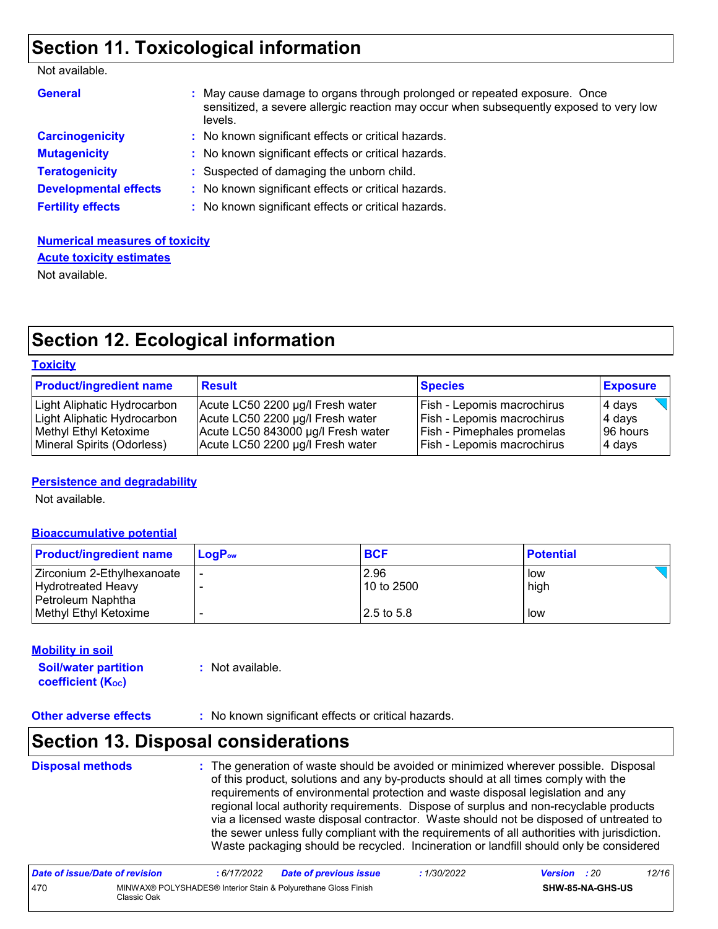## **Section 11. Toxicological information**

| <b>General</b>               | : May cause damage to organs through prolonged or repeated exposure. Once<br>sensitized, a severe allergic reaction may occur when subsequently exposed to very low<br>levels. |
|------------------------------|--------------------------------------------------------------------------------------------------------------------------------------------------------------------------------|
| <b>Carcinogenicity</b>       | : No known significant effects or critical hazards.                                                                                                                            |
| <b>Mutagenicity</b>          | : No known significant effects or critical hazards.                                                                                                                            |
| <b>Teratogenicity</b>        | : Suspected of damaging the unborn child.                                                                                                                                      |
| <b>Developmental effects</b> | : No known significant effects or critical hazards.                                                                                                                            |
| <b>Fertility effects</b>     | : No known significant effects or critical hazards.                                                                                                                            |
|                              |                                                                                                                                                                                |

### **Numerical measures of toxicity Acute toxicity estimates**

Not available.

## **Section 12. Ecological information**

**Toxicity**

| <b>Product/ingredient name</b> | <b>Result</b>                      | <b>Species</b>                    | <b>Exposure</b> |
|--------------------------------|------------------------------------|-----------------------------------|-----------------|
| Light Aliphatic Hydrocarbon    | Acute LC50 2200 µg/l Fresh water   | Fish - Lepomis macrochirus        | 4 days          |
| Light Aliphatic Hydrocarbon    | Acute LC50 2200 µg/l Fresh water   | Fish - Lepomis macrochirus        | 4 days          |
| Methyl Ethyl Ketoxime          | Acute LC50 843000 µg/l Fresh water | <b>Fish - Pimephales promelas</b> | 196 hours       |
| Mineral Spirits (Odorless)     | Acute LC50 2200 µg/l Fresh water   | Fish - Lepomis macrochirus        | 4 days          |

#### **Persistence and degradability**

Not available.

#### **Bioaccumulative potential**

| <b>Product/ingredient name</b> | $LogP_{ow}$ | <b>BCF</b> | <b>Potential</b> |
|--------------------------------|-------------|------------|------------------|
| Zirconium 2-Ethylhexanoate     |             | 2.96       | low              |
| Hydrotreated Heavy             |             | 10 to 2500 | high             |
| Petroleum Naphtha              |             |            |                  |
| Methyl Ethyl Ketoxime          |             | 2.5 to 5.8 | low              |

#### **Mobility in soil**

**Soil/water partition coefficient (KOC) :** Not available.

**Other adverse effects** : No known significant effects or critical hazards.

## **Section 13. Disposal considerations**

| <b>Disposal methods</b> | : The generation of waste should be avoided or minimized wherever possible. Disposal<br>of this product, solutions and any by-products should at all times comply with the<br>requirements of environmental protection and waste disposal legislation and any<br>regional local authority requirements. Dispose of surplus and non-recyclable products |
|-------------------------|--------------------------------------------------------------------------------------------------------------------------------------------------------------------------------------------------------------------------------------------------------------------------------------------------------------------------------------------------------|
|                         | via a licensed waste disposal contractor. Waste should not be disposed of untreated to<br>the sewer unless fully compliant with the requirements of all authorities with jurisdiction.<br>Waste packaging should be recycled. Incineration or landfill should only be considered                                                                       |

| Date of issue/Date of revision |                                                                               | : 6/17/2022 | Date of previous issue | : 1/30/2022 | <b>Version</b> : 20 |                         | 12/16 |
|--------------------------------|-------------------------------------------------------------------------------|-------------|------------------------|-------------|---------------------|-------------------------|-------|
| 470                            | MINWAX® POLYSHADES® Interior Stain & Polyurethane Gloss Finish<br>Classic Oak |             |                        |             |                     | <b>SHW-85-NA-GHS-US</b> |       |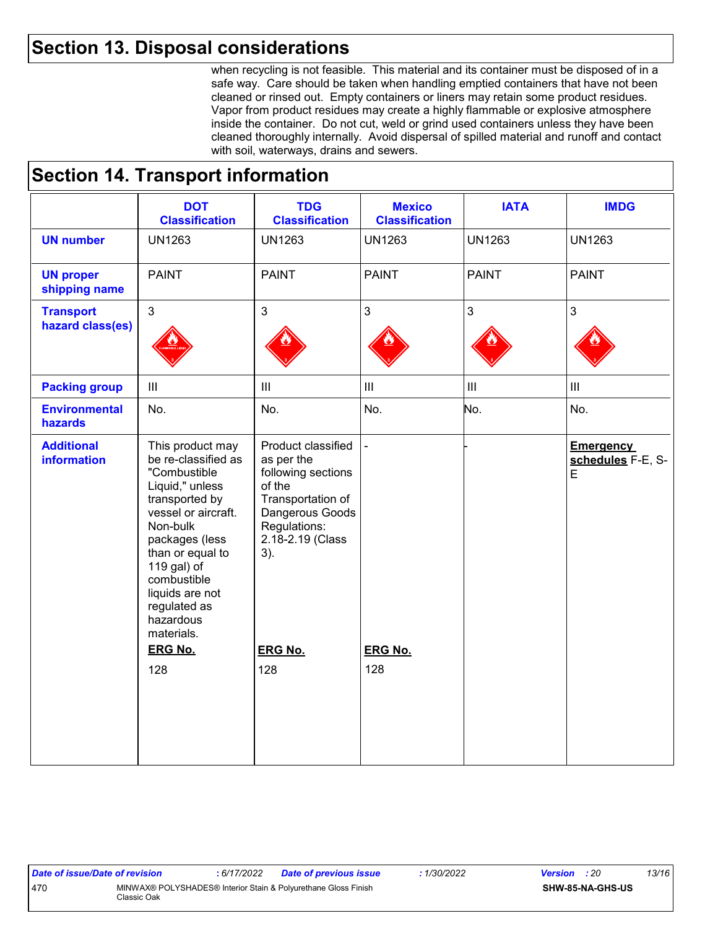### **Section 13. Disposal considerations**

when recycling is not feasible. This material and its container must be disposed of in a safe way. Care should be taken when handling emptied containers that have not been cleaned or rinsed out. Empty containers or liners may retain some product residues. Vapor from product residues may create a highly flammable or explosive atmosphere inside the container. Do not cut, weld or grind used containers unless they have been cleaned thoroughly internally. Avoid dispersal of spilled material and runoff and contact with soil, waterways, drains and sewers.

### **Section 14. Transport information**

|                                         | <b>DOT</b><br><b>Classification</b>                                                                                                                                                                                                                               | <b>TDG</b><br><b>Classification</b>                                                                                                                 | <b>Mexico</b><br><b>Classification</b> | <b>IATA</b>       | <b>IMDG</b>                                |
|-----------------------------------------|-------------------------------------------------------------------------------------------------------------------------------------------------------------------------------------------------------------------------------------------------------------------|-----------------------------------------------------------------------------------------------------------------------------------------------------|----------------------------------------|-------------------|--------------------------------------------|
| <b>UN number</b>                        | <b>UN1263</b>                                                                                                                                                                                                                                                     | <b>UN1263</b>                                                                                                                                       | <b>UN1263</b>                          | <b>UN1263</b>     | <b>UN1263</b>                              |
| <b>UN proper</b><br>shipping name       | <b>PAINT</b>                                                                                                                                                                                                                                                      | <b>PAINT</b>                                                                                                                                        | <b>PAINT</b>                           | <b>PAINT</b>      | <b>PAINT</b>                               |
| <b>Transport</b><br>hazard class(es)    | $\mathbf{3}$                                                                                                                                                                                                                                                      | $\mathbf{3}$                                                                                                                                        | 3                                      | 3                 | $\mathbf{3}$                               |
| <b>Packing group</b>                    | $\mathbf{III}$                                                                                                                                                                                                                                                    | $\  \ $                                                                                                                                             | $\mathop{\rm III}$                     | $\vert\vert\vert$ | $\mathop{\rm III}\nolimits$                |
| <b>Environmental</b><br>hazards         | No.                                                                                                                                                                                                                                                               | No.                                                                                                                                                 | No.                                    | No.               | No.                                        |
| <b>Additional</b><br><b>information</b> | This product may<br>be re-classified as<br>"Combustible<br>Liquid," unless<br>transported by<br>vessel or aircraft.<br>Non-bulk<br>packages (less<br>than or equal to<br>119 gal) of<br>combustible<br>liquids are not<br>regulated as<br>hazardous<br>materials. | Product classified<br>as per the<br>following sections<br>of the<br>Transportation of<br>Dangerous Goods<br>Regulations:<br>2.18-2.19 (Class<br>3). |                                        |                   | <b>Emergency</b><br>schedules F-E, S-<br>E |
|                                         | <b>ERG No.</b><br>128                                                                                                                                                                                                                                             | <b>ERG No.</b><br>128                                                                                                                               | <b>ERG No.</b><br>128                  |                   |                                            |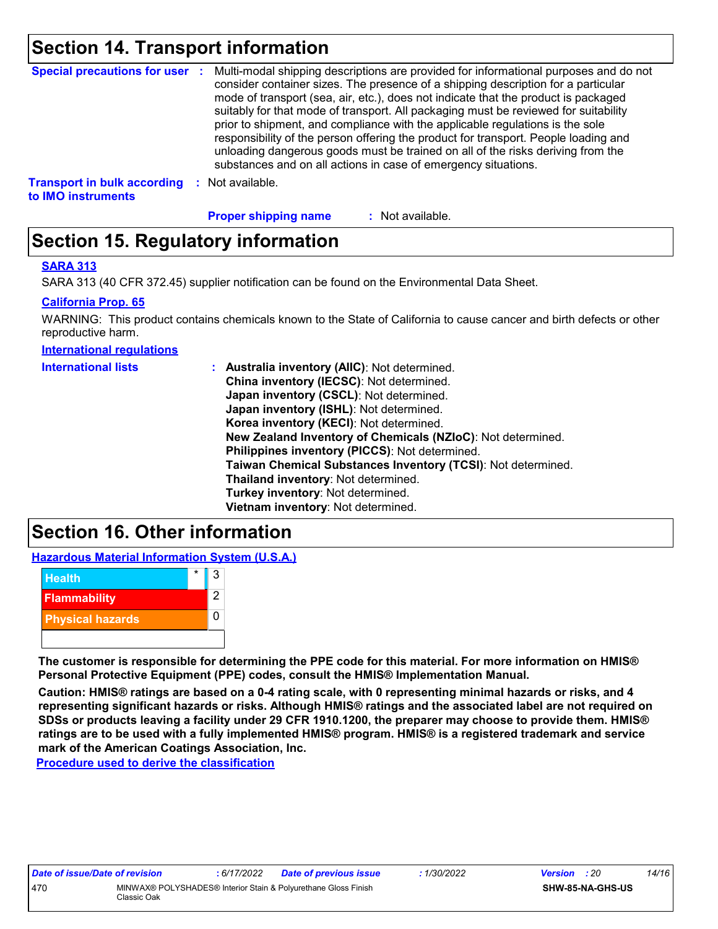### **Section 14. Transport information**

|                                    | Special precautions for user : Multi-modal shipping descriptions are provided for informational purposes and do not<br>consider container sizes. The presence of a shipping description for a particular<br>mode of transport (sea, air, etc.), does not indicate that the product is packaged<br>suitably for that mode of transport. All packaging must be reviewed for suitability<br>prior to shipment, and compliance with the applicable regulations is the sole<br>responsibility of the person offering the product for transport. People loading and<br>unloading dangerous goods must be trained on all of the risks deriving from the<br>substances and on all actions in case of emergency situations. |
|------------------------------------|--------------------------------------------------------------------------------------------------------------------------------------------------------------------------------------------------------------------------------------------------------------------------------------------------------------------------------------------------------------------------------------------------------------------------------------------------------------------------------------------------------------------------------------------------------------------------------------------------------------------------------------------------------------------------------------------------------------------|
| <b>Transport in bulk according</b> | Not available.                                                                                                                                                                                                                                                                                                                                                                                                                                                                                                                                                                                                                                                                                                     |

**to IMO instruments**

**Proper shipping name :**

: Not available.

## **Section 15. Regulatory information**

#### **SARA 313**

SARA 313 (40 CFR 372.45) supplier notification can be found on the Environmental Data Sheet.

#### **California Prop. 65**

WARNING: This product contains chemicals known to the State of California to cause cancer and birth defects or other reproductive harm.

**International regulations**

| <b>International lists</b> | : Australia inventory (AIIC): Not determined.<br>China inventory (IECSC): Not determined.<br>Japan inventory (CSCL): Not determined.<br>Japan inventory (ISHL): Not determined.<br>Korea inventory (KECI): Not determined.<br>New Zealand Inventory of Chemicals (NZIoC): Not determined.<br>Philippines inventory (PICCS): Not determined.<br>Taiwan Chemical Substances Inventory (TCSI): Not determined.<br>Thailand inventory: Not determined.<br>Turkey inventory: Not determined.<br>Vietnam inventory: Not determined. |
|----------------------------|-------------------------------------------------------------------------------------------------------------------------------------------------------------------------------------------------------------------------------------------------------------------------------------------------------------------------------------------------------------------------------------------------------------------------------------------------------------------------------------------------------------------------------|
|                            |                                                                                                                                                                                                                                                                                                                                                                                                                                                                                                                               |

### **Section 16. Other information**

**Hazardous Material Information System (U.S.A.)**



**The customer is responsible for determining the PPE code for this material. For more information on HMIS® Personal Protective Equipment (PPE) codes, consult the HMIS® Implementation Manual.**

**Caution: HMIS® ratings are based on a 0-4 rating scale, with 0 representing minimal hazards or risks, and 4 representing significant hazards or risks. Although HMIS® ratings and the associated label are not required on SDSs or products leaving a facility under 29 CFR 1910.1200, the preparer may choose to provide them. HMIS® ratings are to be used with a fully implemented HMIS® program. HMIS® is a registered trademark and service mark of the American Coatings Association, Inc.**

**Procedure used to derive the classification**